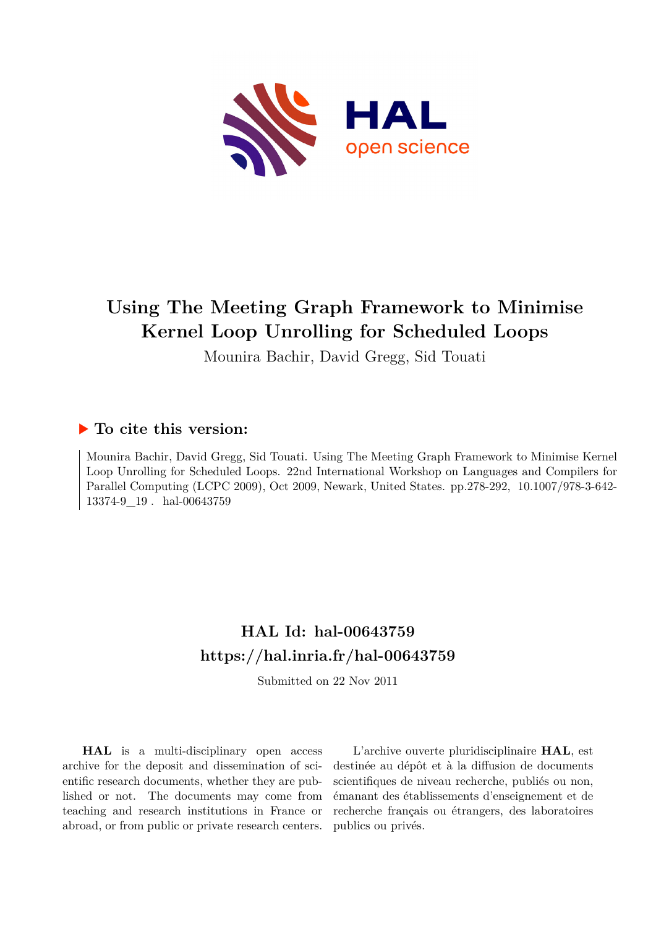

# **Using The Meeting Graph Framework to Minimise Kernel Loop Unrolling for Scheduled Loops**

Mounira Bachir, David Gregg, Sid Touati

# **To cite this version:**

Mounira Bachir, David Gregg, Sid Touati. Using The Meeting Graph Framework to Minimise Kernel Loop Unrolling for Scheduled Loops. 22nd International Workshop on Languages and Compilers for Parallel Computing (LCPC 2009), Oct 2009, Newark, United States. pp.278-292, 10.1007/978-3-642-13374-9 19. hal-00643759

# **HAL Id: hal-00643759 <https://hal.inria.fr/hal-00643759>**

Submitted on 22 Nov 2011

**HAL** is a multi-disciplinary open access archive for the deposit and dissemination of scientific research documents, whether they are published or not. The documents may come from teaching and research institutions in France or abroad, or from public or private research centers.

L'archive ouverte pluridisciplinaire **HAL**, est destinée au dépôt et à la diffusion de documents scientifiques de niveau recherche, publiés ou non, émanant des établissements d'enseignement et de recherche français ou étrangers, des laboratoires publics ou privés.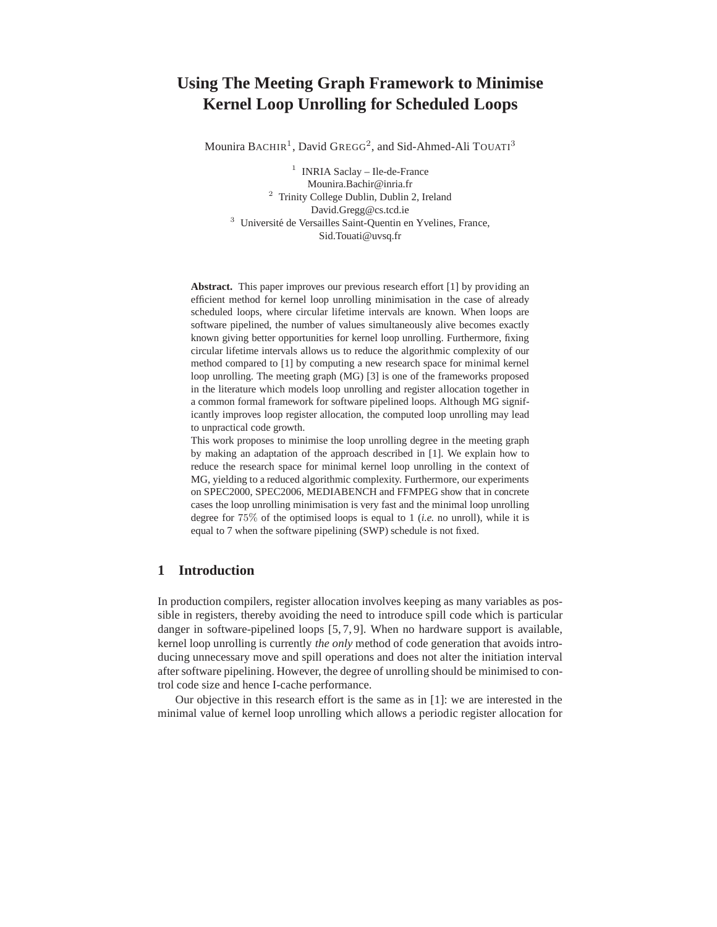# **Using The Meeting Graph Framework to Minimise Kernel Loop Unrolling for Scheduled Loops**

Mounira  $\text{BACHIR}^1$ , David  $\text{GREG}^2$ , and Sid-Ahmed-Ali  $\text{TOUT}^3$ 

<sup>1</sup> INRIA Saclay - Ile-de-France Mounira.Bachir@inria.fr <sup>2</sup> Trinity College Dublin, Dublin 2, Ireland David.Gregg@cs.tcd.ie <sup>3</sup> Université de Versailles Saint-Quentin en Yvelines, France, Sid.Touati@uvsq.fr

**Abstract.** This paper improves our previous research effort [1] by providing an efficient method for kernel loop unrolling minimisation in the case of already scheduled loops, where circular lifetime intervals are known. When loops are software pipelined, the number of values simultaneously alive becomes exactly known giving better opportunities for kernel loop unrolling. Furthermore, fixing circular lifetime intervals allows us to reduce the algorithmic complexity of our method compared to [1] by computing a new research space for minimal kernel loop unrolling. The meeting graph (MG) [3] is one of the frameworks proposed in the literature which models loop unrolling and register allocation together in a common formal framework for software pipelined loops. Although MG significantly improves loop register allocation, the computed loop unrolling may lead to unpractical code growth.

This work proposes to minimise the loop unrolling degree in the meeting graph by making an adaptation of the approach described in [1]. We explain how to reduce the research space for minimal kernel loop unrolling in the context of MG, yielding to a reduced algorithmic complexity. Furthermore, our experiments on SPEC2000, SPEC2006, MEDIABENCH and FFMPEG show that in concrete cases the loop unrolling minimisation is very fast and the minimal loop unrolling degree for 75% of the optimised loops is equal to 1 (*i.e.* no unroll), while it is equal to 7 when the software pipelining (SWP) schedule is not fixed.

# **1 Introduction**

In production compilers, register allocation involves keeping as many variables as possible in registers, thereby avoiding the need to introduce spill code which is particular danger in software-pipelined loops [5, 7, 9]. When no hardware support is available, kernel loop unrolling is currently *the only* method of code generation that avoids introducing unnecessary move and spill operations and does not alter the initiation interval after software pipelining. However, the degree of unrolling should be minimised to control code size and hence I-cache performance.

Our objective in this research effort is the same as in [1]: we are interested in the minimal value of kernel loop unrolling which allows a periodic register allocation for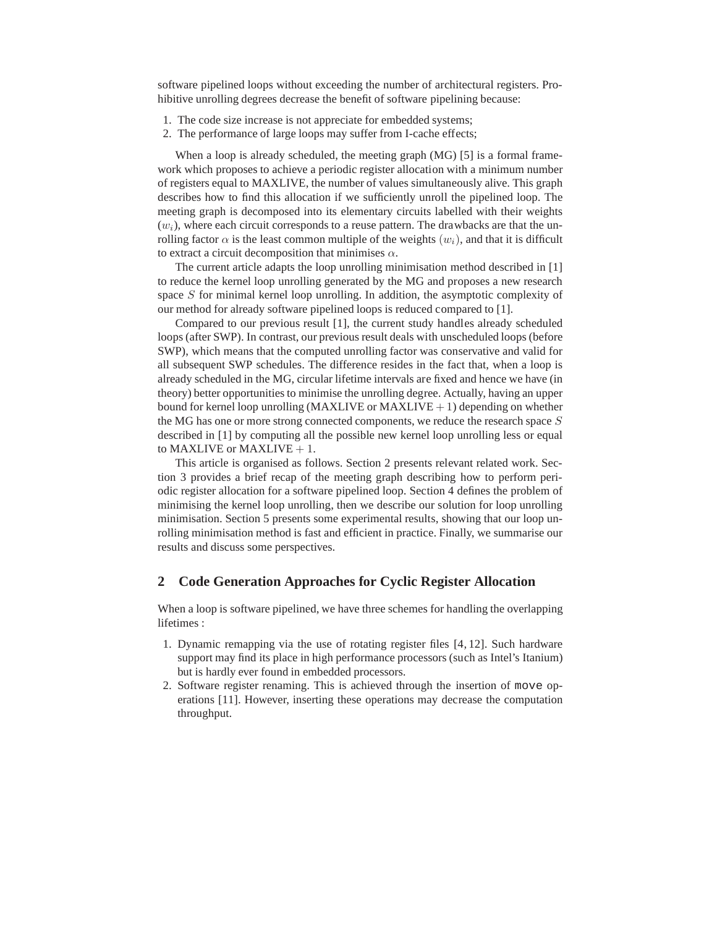software pipelined loops without exceeding the number of architectural registers. Prohibitive unrolling degrees decrease the benefit of software pipelining because:

- 1. The code size increase is not appreciate for embedded systems;
- 2. The performance of large loops may suffer from I-cache effects;

When a loop is already scheduled, the meeting graph (MG) [5] is a formal framework which proposes to achieve a periodic register allocation with a minimum number of registers equal to MAXLIVE, the number of values simultaneously alive. This graph describes how to find this allocation if we sufficiently unroll the pipelined loop. The meeting graph is decomposed into its elementary circuits labelled with their weights  $(w_i)$ , where each circuit corresponds to a reuse pattern. The drawbacks are that the unrolling factor  $\alpha$  is the least common multiple of the weights  $(w_i)$ , and that it is difficult to extract a circuit decomposition that minimises  $\alpha$ .

The current article adapts the loop unrolling minimisation method described in [1] to reduce the kernel loop unrolling generated by the MG and proposes a new research space S for minimal kernel loop unrolling. In addition, the asymptotic complexity of our method for already software pipelined loops is reduced compared to [1].

Compared to our previous result [1], the current study handles already scheduled loops (after SWP). In contrast, our previous result deals with unscheduled loops (before SWP), which means that the computed unrolling factor was conservative and valid for all subsequent SWP schedules. The difference resides in the fact that, when a loop is already scheduled in the MG, circular lifetime intervals are fixed and hence we have (in theory) better opportunities to minimise the unrolling degree. Actually, having an upper bound for kernel loop unrolling (MAXLIVE or MAXLIVE  $+ 1$ ) depending on whether the MG has one or more strong connected components, we reduce the research space S described in [1] by computing all the possible new kernel loop unrolling less or equal to MAXLIVE or MAXLIVE  $+1$ .

This article is organised as follows. Section 2 presents relevant related work. Section 3 provides a brief recap of the meeting graph describing how to perform periodic register allocation for a software pipelined loop. Section 4 defines the problem of minimising the kernel loop unrolling, then we describe our solution for loop unrolling minimisation. Section 5 presents some experimental results, showing that our loop unrolling minimisation method is fast and efficient in practice. Finally, we summarise our results and discuss some perspectives.

# **2 Code Generation Approaches for Cyclic Register Allocation**

When a loop is software pipelined, we have three schemes for handling the overlapping lifetimes :

- 1. Dynamic remapping via the use of rotating register files [4, 12]. Such hardware support may find its place in high performance processors (such as Intel's Itanium) but is hardly ever found in embedded processors.
- 2. Software register renaming. This is achieved through the insertion of move operations [11]. However, inserting these operations may decrease the computation throughput.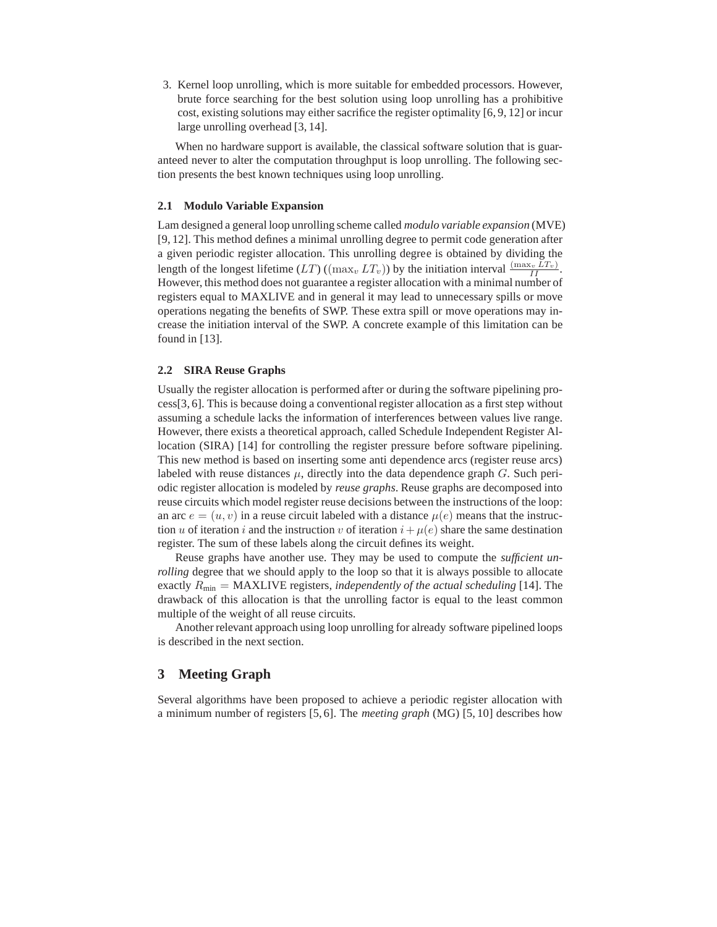3. Kernel loop unrolling, which is more suitable for embedded processors. However, brute force searching for the best solution using loop unrolling has a prohibitive cost, existing solutions may either sacrifice the register optimality [6, 9, 12] or incur large unrolling overhead [3, 14].

When no hardware support is available, the classical software solution that is guaranteed never to alter the computation throughput is loop unrolling. The following section presents the best known techniques using loop unrolling.

#### **2.1 Modulo Variable Expansion**

Lam designed a general loop unrolling scheme called *modulo variable expansion* (MVE) [9, 12]. This method defines a minimal unrolling degree to permit code generation after a given periodic register allocation. This unrolling degree is obtained by dividing the length of the longest lifetime  $(LT)$  ( $(\max_v LT_v)$ ) by the initiation interval  $\frac{(\max_v LT_v)}{II}$ . However, this method does not guarantee a register allocation with a minimal number of registers equal to MAXLIVE and in general it may lead to unnecessary spills or move operations negating the benefits of SWP. These extra spill or move operations may increase the initiation interval of the SWP. A concrete example of this limitation can be found in [13].

#### **2.2 SIRA Reuse Graphs**

Usually the register allocation is performed after or during the software pipelining process[3, 6]. This is because doing a conventional register allocation as a first step without assuming a schedule lacks the information of interferences between values live range. However, there exists a theoretical approach, called Schedule Independent Register Allocation (SIRA) [14] for controlling the register pressure before software pipelining. This new method is based on inserting some anti dependence arcs (register reuse arcs) labeled with reuse distances  $\mu$ , directly into the data dependence graph G. Such periodic register allocation is modeled by *reuse graphs*. Reuse graphs are decomposed into reuse circuits which model register reuse decisions between the instructions of the loop: an arc  $e = (u, v)$  in a reuse circuit labeled with a distance  $\mu(e)$  means that the instruction u of iteration i and the instruction v of iteration  $i+\mu(e)$  share the same destination register. The sum of these labels along the circuit defines its weight.

Reuse graphs have another use. They may be used to compute the *sufficient unrolling* degree that we should apply to the loop so that it is always possible to allocate exactly Rmin = MAXLIVE registers, *independently of the actual scheduling* [14]. The drawback of this allocation is that the unrolling factor is equal to the least common multiple of the weight of all reuse circuits.

Another relevant approach using loop unrolling for already software pipelined loops is described in the next section.

# **3 Meeting Graph**

Several algorithms have been proposed to achieve a periodic register allocation with a minimum number of registers [5, 6]. The *meeting graph* (MG) [5, 10] describes how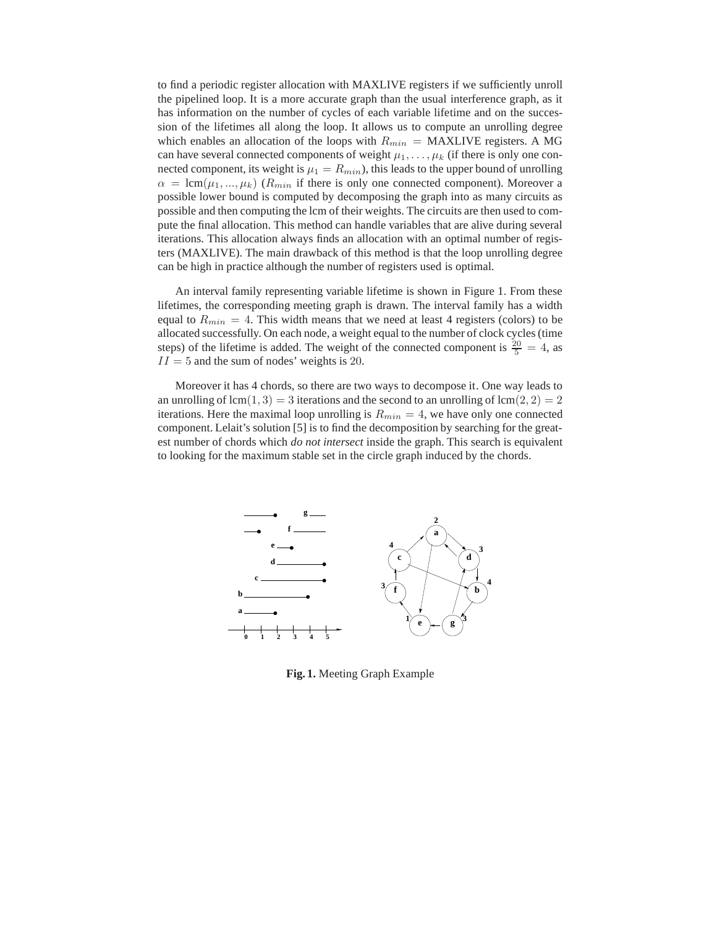to find a periodic register allocation with MAXLIVE registers if we sufficiently unroll the pipelined loop. It is a more accurate graph than the usual interference graph, as it has information on the number of cycles of each variable lifetime and on the succession of the lifetimes all along the loop. It allows us to compute an unrolling degree which enables an allocation of the loops with  $R_{min} = \text{MAXLIVE registers}$ . A MG can have several connected components of weight  $\mu_1, \ldots, \mu_k$  (if there is only one connected component, its weight is  $\mu_1 = R_{min}$ ), this leads to the upper bound of unrolling  $\alpha = \text{lcm}(\mu_1, ..., \mu_k)$  ( $R_{min}$  if there is only one connected component). Moreover a possible lower bound is computed by decomposing the graph into as many circuits as possible and then computing the lcm of their weights. The circuits are then used to compute the final allocation. This method can handle variables that are alive during several iterations. This allocation always finds an allocation with an optimal number of registers (MAXLIVE). The main drawback of this method is that the loop unrolling degree can be high in practice although the number of registers used is optimal.

An interval family representing variable lifetime is shown in Figure 1. From these lifetimes, the corresponding meeting graph is drawn. The interval family has a width equal to  $R_{min} = 4$ . This width means that we need at least 4 registers (colors) to be allocated successfully. On each node, a weight equal to the number of clock cycles (time steps) of the lifetime is added. The weight of the connected component is  $\frac{20}{5} = 4$ , as  $II = 5$  and the sum of nodes' weights is 20.

Moreover it has 4 chords, so there are two ways to decompose it. One way leads to an unrolling of lcm(1, 3) = 3 iterations and the second to an unrolling of lcm(2, 2) = 2 iterations. Here the maximal loop unrolling is  $R_{min} = 4$ , we have only one connected component. Lelait's solution [5] is to find the decomposition by searching for the greatest number of chords which *do not intersect* inside the graph. This search is equivalent to looking for the maximum stable set in the circle graph induced by the chords.



**Fig. 1.** Meeting Graph Example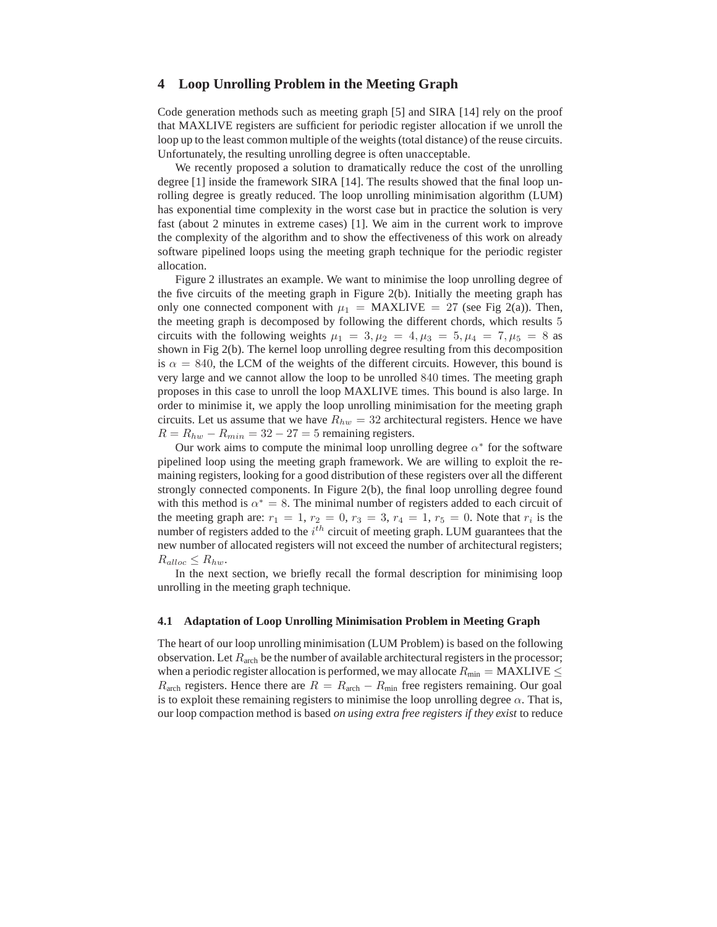# **4 Loop Unrolling Problem in the Meeting Graph**

Code generation methods such as meeting graph [5] and SIRA [14] rely on the proof that MAXLIVE registers are sufficient for periodic register allocation if we unroll the loop up to the least common multiple of the weights (total distance) of the reuse circuits. Unfortunately, the resulting unrolling degree is often unacceptable.

We recently proposed a solution to dramatically reduce the cost of the unrolling degree [1] inside the framework SIRA [14]. The results showed that the final loop unrolling degree is greatly reduced. The loop unrolling minimisation algorithm (LUM) has exponential time complexity in the worst case but in practice the solution is very fast (about 2 minutes in extreme cases) [1]. We aim in the current work to improve the complexity of the algorithm and to show the effectiveness of this work on already software pipelined loops using the meeting graph technique for the periodic register allocation.

Figure 2 illustrates an example. We want to minimise the loop unrolling degree of the five circuits of the meeting graph in Figure  $2(b)$ . Initially the meeting graph has only one connected component with  $\mu_1$  = MAXLIVE = 27 (see Fig 2(a)). Then, the meeting graph is decomposed by following the different chords, which results 5 circuits with the following weights  $\mu_1 = 3, \mu_2 = 4, \mu_3 = 5, \mu_4 = 7, \mu_5 = 8$  as shown in Fig 2(b). The kernel loop unrolling degree resulting from this decomposition is  $\alpha = 840$ , the LCM of the weights of the different circuits. However, this bound is very large and we cannot allow the loop to be unrolled 840 times. The meeting graph proposes in this case to unroll the loop MAXLIVE times. This bound is also large. In order to minimise it, we apply the loop unrolling minimisation for the meeting graph circuits. Let us assume that we have  $R_{hw} = 32$  architectural registers. Hence we have  $R = R_{hw} - R_{min} = 32 - 27 = 5$  remaining registers.

Our work aims to compute the minimal loop unrolling degree  $\alpha^*$  for the software pipelined loop using the meeting graph framework. We are willing to exploit the remaining registers, looking for a good distribution of these registers over all the different strongly connected components. In Figure 2(b), the final loop unrolling degree found with this method is  $\alpha^* = 8$ . The minimal number of registers added to each circuit of the meeting graph are:  $r_1 = 1, r_2 = 0, r_3 = 3, r_4 = 1, r_5 = 0$ . Note that  $r_i$  is the number of registers added to the  $i^{th}$  circuit of meeting graph. LUM guarantees that the new number of allocated registers will not exceed the number of architectural registers;  $R_{alloc} \leq R_{hw}$ .

In the next section, we briefly recall the formal description for minimising loop unrolling in the meeting graph technique.

#### **4.1 Adaptation of Loop Unrolling Minimisation Problem in Meeting Graph**

The heart of our loop unrolling minimisation (LUM Problem) is based on the following observation. Let  $R_{\text{arch}}$  be the number of available architectural registers in the processor; when a periodic register allocation is performed, we may allocate  $R_{\text{min}} = \text{MAXLIVE} \leq$  $R_{\text{arch}}$  registers. Hence there are  $R = R_{\text{arch}} - R_{\text{min}}$  free registers remaining. Our goal is to exploit these remaining registers to minimise the loop unrolling degree  $\alpha$ . That is, our loop compaction method is based *on using extra free registers if they exist* to reduce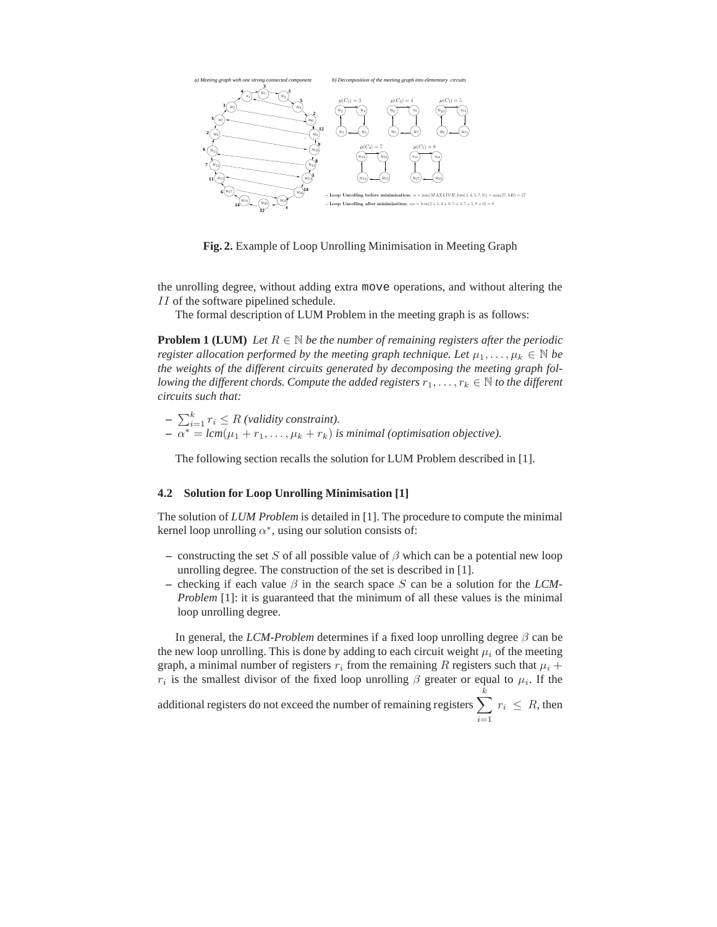

**Fig. 2.** Example of Loop Unrolling Minimisation in Meeting Graph

the unrolling degree, without adding extra move operations, and without altering the II of the software pipelined schedule.

The formal description of LUM Problem in the meeting graph is as follows:

**Problem 1 (LUM)** *Let*  $R \in \mathbb{N}$  *be the number of remaining registers after the periodic register allocation performed by the meeting graph technique. Let*  $\mu_1, \ldots, \mu_k \in \mathbb{N}$  *be the weights of the different circuits generated by decomposing the meeting graph following the different chords. Compute the added registers*  $r_1, \ldots, r_k \in \mathbb{N}$  to the different *circuits such that:*

 $\sum_{i=1}^{k} r_i \leq R$  *(validity constraint).*  $-\alpha^* = lcm(\mu_1 + r_1, \ldots, \mu_k + r_k)$  *is minimal (optimisation objective).* 

The following section recalls the solution for LUM Problem described in [1].

#### **4.2 Solution for Loop Unrolling Minimisation [1]**

The solution of *LUM Problem* is detailed in [1]. The procedure to compute the minimal kernel loop unrolling  $\alpha^*$ , using our solution consists of:

- constructing the set S of all possible value of  $\beta$  which can be a potential new loop unrolling degree. The construction of the set is described in [1].
- $\overline{\phantom{a}}$  checking if each value  $\beta$  in the search space S can be a solution for the *LCM*-*Problem* [1]: it is guaranteed that the minimum of all these values is the minimal loop unrolling degree.

In general, the *LCM-Problem* determines if a fixed loop unrolling degree  $\beta$  can be the new loop unrolling. This is done by adding to each circuit weight  $\mu_i$  of the meeting graph, a minimal number of registers  $r_i$  from the remaining R registers such that  $\mu_i$  +  $r_i$  is the smallest divisor of the fixed loop unrolling  $\beta$  greater or equal to  $\mu_i$ . If the

additional registers do not exceed the number of remaining registers  $\sum$ k  $i=1$  $r_i \leq R$ , then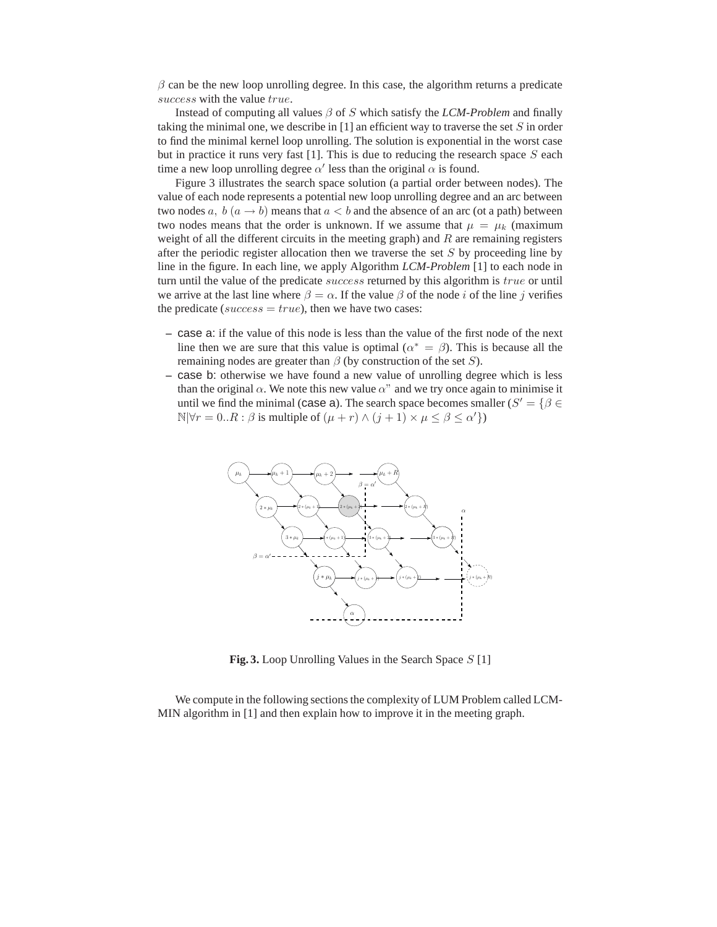$\beta$  can be the new loop unrolling degree. In this case, the algorithm returns a predicate success with the value true.

Instead of computing all values β of S which satisfy the *LCM-Problem* and finally taking the minimal one, we describe in  $[1]$  an efficient way to traverse the set  $S$  in order to find the minimal kernel loop unrolling. The solution is exponential in the worst case but in practice it runs very fast [1]. This is due to reducing the research space  $S$  each time a new loop unrolling degree  $\alpha'$  less than the original  $\alpha$  is found.

Figure 3 illustrates the search space solution (a partial order between nodes). The value of each node represents a potential new loop unrolling degree and an arc between two nodes  $a, b (a \rightarrow b)$  means that  $a < b$  and the absence of an arc (ot a path) between two nodes means that the order is unknown. If we assume that  $\mu = \mu_k$  (maximum weight of all the different circuits in the meeting graph) and  $R$  are remaining registers after the periodic register allocation then we traverse the set  $S$  by proceeding line by line in the figure. In each line, we apply Algorithm *LCM-Problem* [1] to each node in turn until the value of the predicate *success* returned by this algorithm is *true* or until we arrive at the last line where  $\beta = \alpha$ . If the value  $\beta$  of the node *i* of the line *j* verifies the predicate (success =  $true$ ), then we have two cases:

- **–** case a: if the value of this node is less than the value of the first node of the next line then we are sure that this value is optimal ( $\alpha^* = \beta$ ). This is because all the remaining nodes are greater than  $\beta$  (by construction of the set S).
- **–** case b: otherwise we have found a new value of unrolling degree which is less than the original  $\alpha$ . We note this new value  $\alpha$ " and we try once again to minimise it until we find the minimal (case a). The search space becomes smaller ( $S' = \{ \beta \in S \}$  $\mathbb{N}|\forall r = 0..R : \beta$  is multiple of  $(\mu + r) \wedge (j + 1) \times \mu \leq \beta \leq \alpha'$



**Fig. 3.** Loop Unrolling Values in the Search Space S [1]

We compute in the following sections the complexity of LUM Problem called LCM-MIN algorithm in [1] and then explain how to improve it in the meeting graph.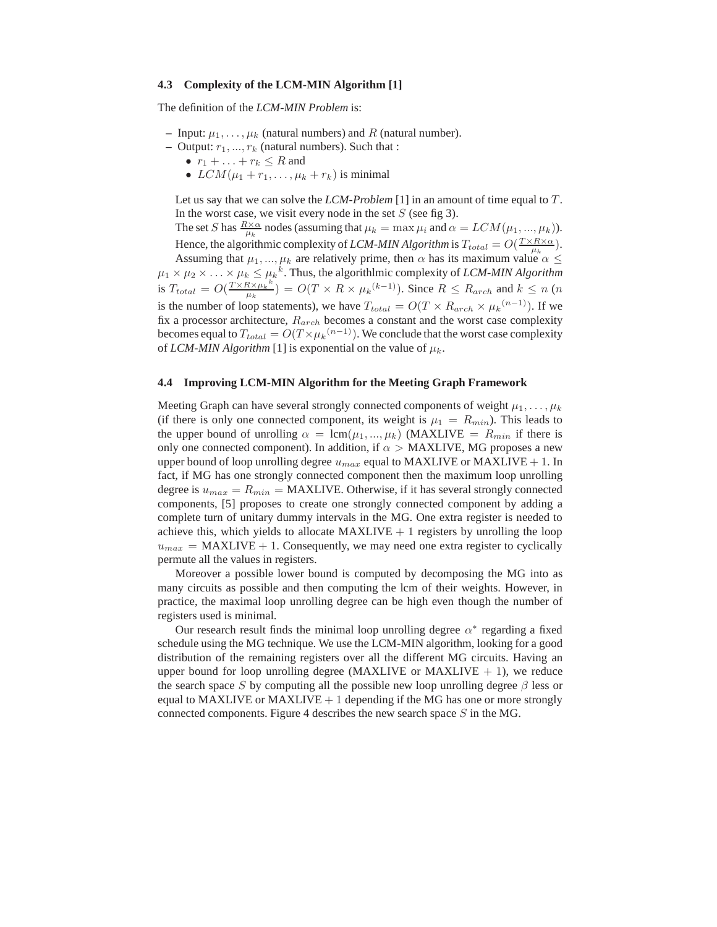#### **4.3 Complexity of the LCM-MIN Algorithm [1]**

The definition of the *LCM-MIN Problem* is:

- **–** Input:  $\mu_1, \ldots, \mu_k$  (natural numbers) and R (natural number).
- **–** Output:  $r_1, ..., r_k$  (natural numbers). Such that :
	- $r_1 + \ldots + r_k \leq R$  and
	- $LCM(\mu_1 + r_1, \ldots, \mu_k + r_k)$  is minimal

Let us say that we can solve the *LCM-Problem* [1] in an amount of time equal to T. In the worst case, we visit every node in the set  $S$  (see fig 3).

The set S has  $\frac{R\times\alpha}{\mu_k}$  nodes (assuming that  $\mu_k = \max \mu_i$  and  $\alpha = LCM(\mu_1, ..., \mu_k)$ ). Hence, the algorithmic complexity of *LCM-MIN Algorithm* is  $T_{total} = O(\frac{T \times R \times \alpha}{\mu_k})$ . Assuming that  $\mu_1, ..., \mu_k$  are relatively prime, then  $\alpha$  has its maximum value  $\alpha \leq$ 

 $\mu_1 \times \mu_2 \times \ldots \times \mu_k \leq \mu_k^k$ . Thus, the algorithlmic complexity of *LCM-MIN Algorithm* is  $T_{total} = O(\frac{T \times R \times \mu_k}{\mu_k})$  $\frac{R \times \mu_k^k}{\mu_k}$ ) =  $O(T \times R \times \mu_k^{(k-1)})$ . Since  $R \leq R_{arch}$  and  $k \leq n$  (*n* is the number of loop statements), we have  $T_{total} = O(T \times R_{arch} \times \mu_k^{(n-1)})$ . If we fix a processor architecture,  $R_{arch}$  becomes a constant and the worst case complexity becomes equal to  $T_{total} = O(T \times \mu_k^{(n-1)})$ . We conclude that the worst case complexity of *LCM-MIN Algorithm* [1] is exponential on the value of  $\mu_k$ .

#### **4.4 Improving LCM-MIN Algorithm for the Meeting Graph Framework**

Meeting Graph can have several strongly connected components of weight  $\mu_1, \ldots, \mu_k$ (if there is only one connected component, its weight is  $\mu_1 = R_{min}$ ). This leads to the upper bound of unrolling  $\alpha = \text{lcm}(\mu_1, ..., \mu_k)$  (MAXLIVE =  $R_{min}$  if there is only one connected component). In addition, if  $\alpha >$  MAXLIVE, MG proposes a new upper bound of loop unrolling degree  $u_{max}$  equal to MAXLIVE or MAXLIVE + 1. In fact, if MG has one strongly connected component then the maximum loop unrolling degree is  $u_{max} = R_{min} = \text{MAXLIVE}$ . Otherwise, if it has several strongly connected components, [5] proposes to create one strongly connected component by adding a complete turn of unitary dummy intervals in the MG. One extra register is needed to achieve this, which yields to allocate  $MAXLIVE + 1$  registers by unrolling the loop  $u_{max}$  = MAXLIVE + 1. Consequently, we may need one extra register to cyclically permute all the values in registers.

Moreover a possible lower bound is computed by decomposing the MG into as many circuits as possible and then computing the lcm of their weights. However, in practice, the maximal loop unrolling degree can be high even though the number of registers used is minimal.

Our research result finds the minimal loop unrolling degree  $\alpha^*$  regarding a fixed schedule using the MG technique. We use the LCM-MIN algorithm, looking for a good distribution of the remaining registers over all the different MG circuits. Having an upper bound for loop unrolling degree (MAXLIVE or MAXLIVE  $+ 1$ ), we reduce the search space S by computing all the possible new loop unrolling degree  $\beta$  less or equal to MAXLIVE or MAXLIVE  $+1$  depending if the MG has one or more strongly connected components. Figure 4 describes the new search space  $S$  in the MG.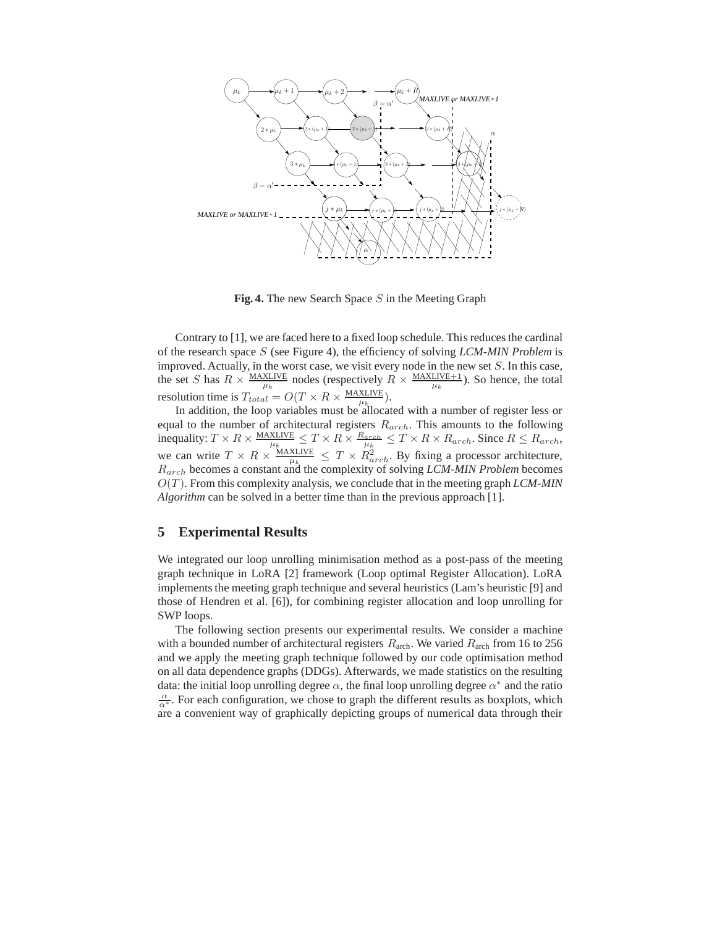

**Fig. 4.** The new Search Space S in the Meeting Graph

Contrary to [1], we are faced here to a fixed loop schedule. This reduces the cardinal of the research space S (see Figure 4), the efficiency of solving *LCM-MIN Problem* is improved. Actually, in the worst case, we visit every node in the new set  $S$ . In this case, the set S has  $R \times \frac{\text{MAXLINE}}{\mu_k}$  nodes (respectively  $R \times \frac{\text{MAXLINE}}{\mu_k}$ ). So hence, the total resolution time is  $T_{total} = O(T \times R \times \frac{\text{MAXLIVE}}{\mu_k}).$ 

In addition, the loop variables must be allocated with a number of register less or equal to the number of architectural registers  $R_{arch}$ . This amounts to the following inequality:  $T \times R \times \frac{\text{MAXLIVE}}{\mu_k} \leq T \times R \times \frac{R_{arch}}{\mu_k} \leq T \times R \times R_{arch}$ . Since  $R \leq R_{arch}$ , we can write  $T \times R \times \frac{\text{MAXLINE}}{\mu_k} \leq T \times R_{arch}^2$ . By fixing a processor architecture, Rarch becomes a constant and the complexity of solving *LCM-MIN Problem* becomes  $O(T)$ . From this complexity analysis, we conclude that in the meeting graph *LCM-MIN Algorithm* can be solved in a better time than in the previous approach [1].

### **5 Experimental Results**

We integrated our loop unrolling minimisation method as a post-pass of the meeting graph technique in LoRA [2] framework (Loop optimal Register Allocation). LoRA implements the meeting graph technique and several heuristics (Lam's heuristic [9] and those of Hendren et al. [6]), for combining register allocation and loop unrolling for SWP loops.

The following section presents our experimental results. We consider a machine with a bounded number of architectural registers  $R_{\text{arch}}$ . We varied  $R_{\text{arch}}$  from 16 to 256 and we apply the meeting graph technique followed by our code optimisation method on all data dependence graphs (DDGs). Afterwards, we made statistics on the resulting data: the initial loop unrolling degree  $\alpha$ , the final loop unrolling degree  $\alpha^*$  and the ratio  $\frac{\alpha}{\alpha^*}$ . For each configuration, we chose to graph the different results as boxplots, which are a convenient way of graphically depicting groups of numerical data through their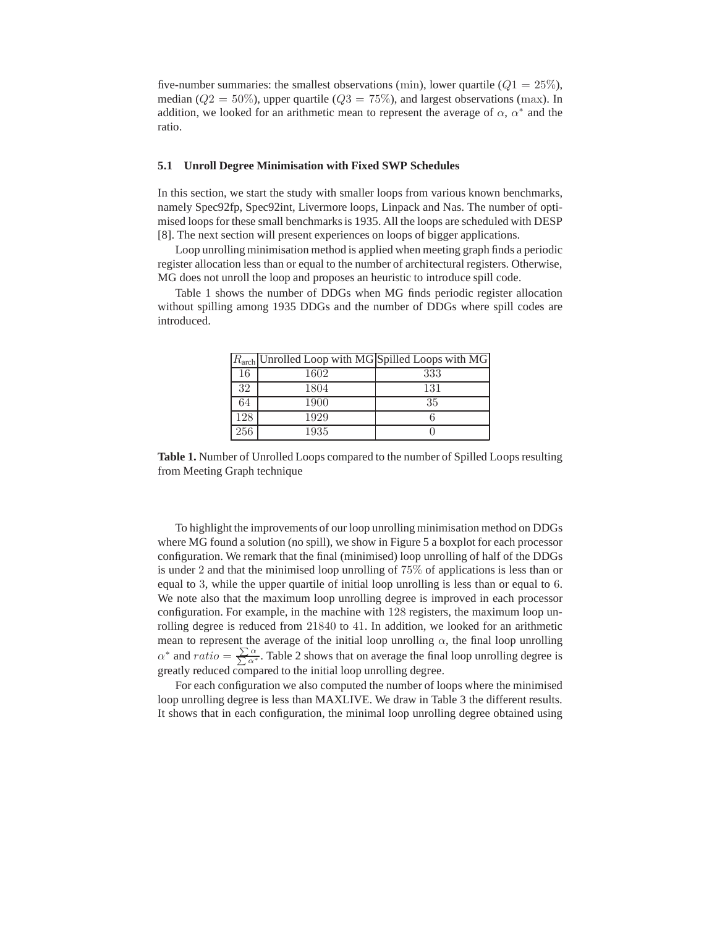five-number summaries: the smallest observations (min), lower quartile  $(Q1 = 25\%)$ , median ( $Q2 = 50\%$ ), upper quartile ( $Q3 = 75\%$ ), and largest observations (max). In addition, we looked for an arithmetic mean to represent the average of  $\alpha$ ,  $\alpha^*$  and the ratio.

#### **5.1 Unroll Degree Minimisation with Fixed SWP Schedules**

In this section, we start the study with smaller loops from various known benchmarks, namely Spec92fp, Spec92int, Livermore loops, Linpack and Nas. The number of optimised loops for these small benchmarks is 1935. All the loops are scheduled with DESP [8]. The next section will present experiences on loops of bigger applications.

Loop unrolling minimisation method is applied when meeting graph finds a periodic register allocation less than or equal to the number of architectural registers. Otherwise, MG does not unroll the loop and proposes an heuristic to introduce spill code.

Table 1 shows the number of DDGs when MG finds periodic register allocation without spilling among 1935 DDGs and the number of DDGs where spill codes are introduced.

|     | $R_{\text{arch}}$ Unrolled Loop with MG Spilled Loops with MG |     |
|-----|---------------------------------------------------------------|-----|
| 16  | 1602                                                          | 333 |
| 32  | 1804                                                          | 131 |
| 64  | 1900                                                          | 35  |
| 128 | 1929                                                          |     |
| 256 | 1935                                                          |     |

**Table 1.** Number of Unrolled Loops compared to the number of Spilled Loops resulting from Meeting Graph technique

To highlight the improvements of our loop unrolling minimisation method on DDGs where MG found a solution (no spill), we show in Figure 5 a boxplot for each processor configuration. We remark that the final (minimised) loop unrolling of half of the DDGs is under 2 and that the minimised loop unrolling of 75% of applications is less than or equal to 3, while the upper quartile of initial loop unrolling is less than or equal to 6. We note also that the maximum loop unrolling degree is improved in each processor configuration. For example, in the machine with 128 registers, the maximum loop unrolling degree is reduced from 21840 to 41. In addition, we looked for an arithmetic mean to represent the average of the initial loop unrolling  $\alpha$ , the final loop unrolling  $\alpha^*$  and  $ratio = \frac{\sum \alpha}{\sum \alpha^*}$ . Table 2 shows that on average the final loop unrolling degree is greatly reduced compared to the initial loop unrolling degree.

For each configuration we also computed the number of loops where the minimised loop unrolling degree is less than MAXLIVE. We draw in Table 3 the different results. It shows that in each configuration, the minimal loop unrolling degree obtained using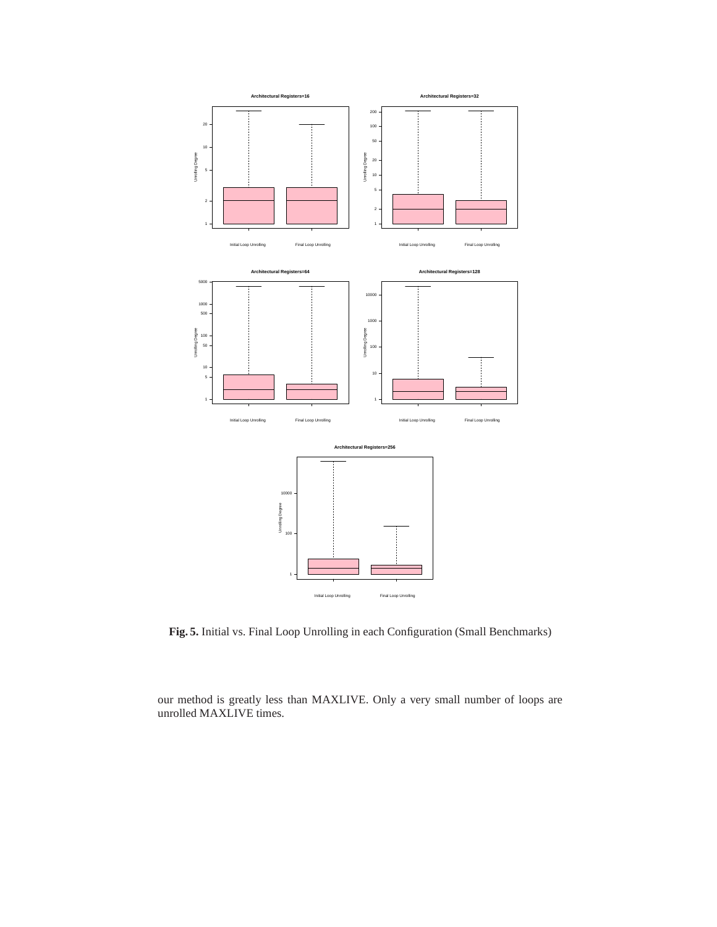

**Fig. 5.** Initial vs. Final Loop Unrolling in each Configuration (Small Benchmarks)

our method is greatly less than MAXLIVE. Only a very small number of loops are unrolled MAXLIVE times.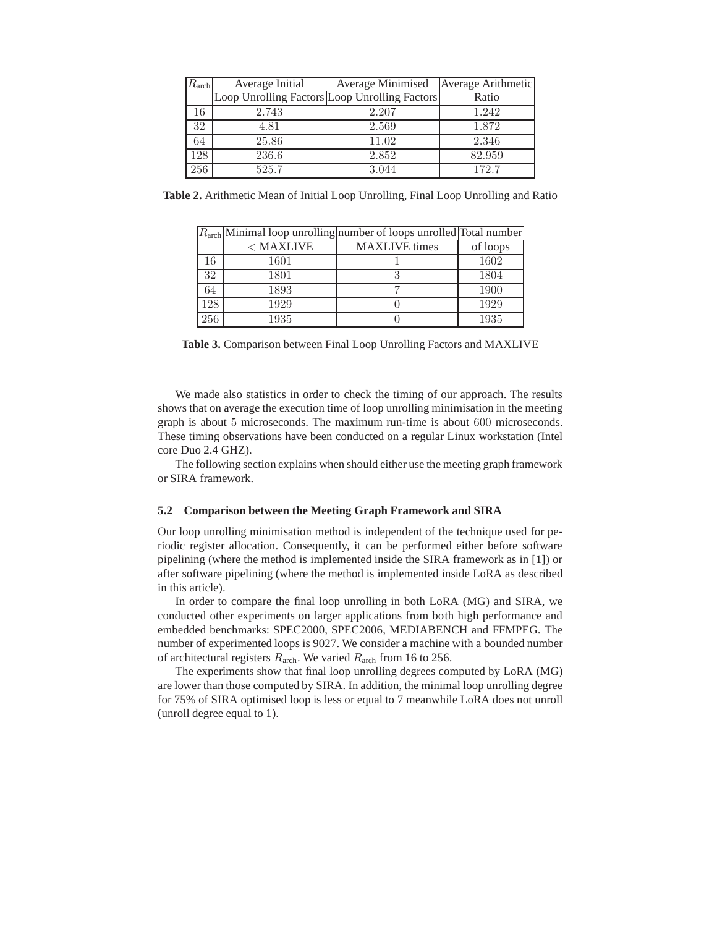| $R_{\rm arch}$ | Average Initial                               | Average Minimised   Average Arithmetic |        |
|----------------|-----------------------------------------------|----------------------------------------|--------|
|                | Loop Unrolling Factors Loop Unrolling Factors |                                        | Ratio  |
| 16             | 2.743                                         | 2.207                                  | 1.242  |
| 32             | 4.81                                          | 2.569                                  | 1.872  |
| 64             | 25.86                                         | 11.02                                  | 2.346  |
| 128            | 236.6                                         | 2.852                                  | 82.959 |
| 256            | 525.7                                         | 3.044                                  | 172.7  |

**Table 2.** Arithmetic Mean of Initial Loop Unrolling, Final Loop Unrolling and Ratio

|     |             | $Rarch$ Minimal loop unrolling number of loops unrolled Total number |          |
|-----|-------------|----------------------------------------------------------------------|----------|
|     | $<$ MAXLIVE | <b>MAXLIVE</b> times                                                 | of loops |
| 16  | 1601        |                                                                      | 1602     |
| 32  | 1801        |                                                                      | 1804     |
| 64  | 1893        |                                                                      | 1900     |
| 128 | 1929        |                                                                      | 1929     |
| 256 | 1935        |                                                                      | 1935     |

**Table 3.** Comparison between Final Loop Unrolling Factors and MAXLIVE

We made also statistics in order to check the timing of our approach. The results shows that on average the execution time of loop unrolling minimisation in the meeting graph is about 5 microseconds. The maximum run-time is about 600 microseconds. These timing observations have been conducted on a regular Linux workstation (Intel core Duo 2.4 GHZ).

The following section explains when should either use the meeting graph framework or SIRA framework.

#### **5.2 Comparison between the Meeting Graph Framework and SIRA**

Our loop unrolling minimisation method is independent of the technique used for periodic register allocation. Consequently, it can be performed either before software pipelining (where the method is implemented inside the SIRA framework as in [1]) or after software pipelining (where the method is implemented inside LoRA as described in this article).

In order to compare the final loop unrolling in both LoRA (MG) and SIRA, we conducted other experiments on larger applications from both high performance and embedded benchmarks: SPEC2000, SPEC2006, MEDIABENCH and FFMPEG. The number of experimented loops is 9027. We consider a machine with a bounded number of architectural registers  $R_{\text{arch}}$ . We varied  $R_{\text{arch}}$  from 16 to 256.

The experiments show that final loop unrolling degrees computed by LoRA (MG) are lower than those computed by SIRA. In addition, the minimal loop unrolling degree for 75% of SIRA optimised loop is less or equal to 7 meanwhile LoRA does not unroll (unroll degree equal to 1).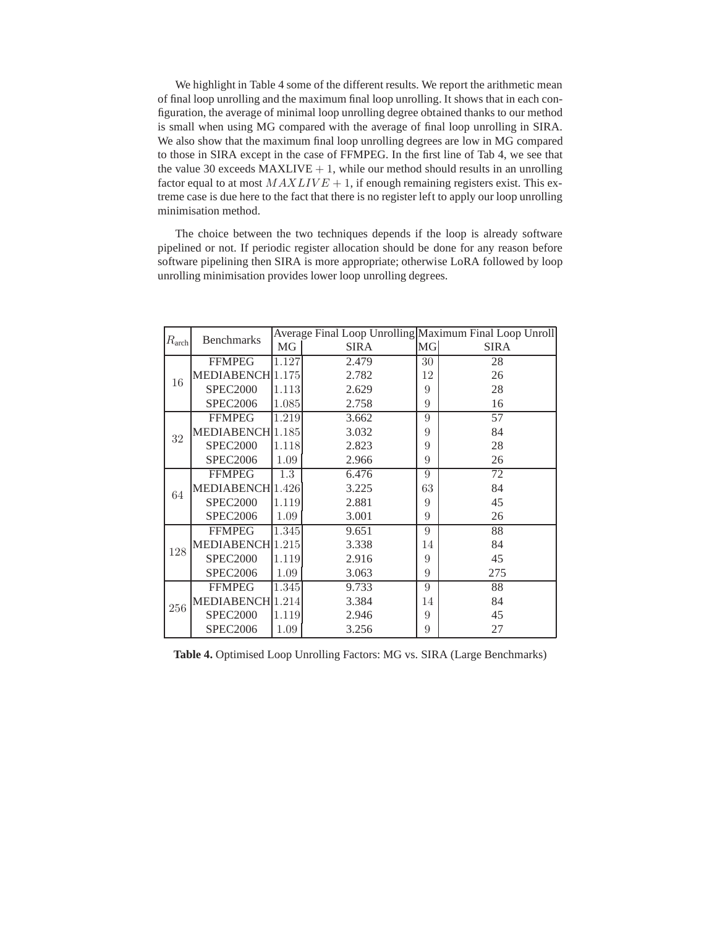We highlight in Table 4 some of the different results. We report the arithmetic mean of final loop unrolling and the maximum final loop unrolling. It shows that in each configuration, the average of minimal loop unrolling degree obtained thanks to our method is small when using MG compared with the average of final loop unrolling in SIRA. We also show that the maximum final loop unrolling degrees are low in MG compared to those in SIRA except in the case of FFMPEG. In the first line of Tab 4, we see that the value 30 exceeds  $MAXLIVE + 1$ , while our method should results in an unrolling factor equal to at most  $MAXLIVE + 1$ , if enough remaining registers exist. This extreme case is due here to the fact that there is no register left to apply our loop unrolling minimisation method.

The choice between the two techniques depends if the loop is already software pipelined or not. If periodic register allocation should be done for any reason before software pipelining then SIRA is more appropriate; otherwise LoRA followed by loop unrolling minimisation provides lower loop unrolling degrees.

| $R_{\rm arch}$ | <b>Benchmarks</b>              | Average Final Loop Unrolling Maximum Final Loop Unroll |             |           |             |
|----------------|--------------------------------|--------------------------------------------------------|-------------|-----------|-------------|
|                |                                | MG                                                     | <b>SIRA</b> | <b>MG</b> | <b>SIRA</b> |
| 16             | <b>FFMPEG</b>                  | 1.127                                                  | 2.479       | 30        | 28          |
|                | MEDIABENCH <sup>[1.175</sup> ] |                                                        | 2.782       | 12        | 26          |
|                | <b>SPEC2000</b>                | 1.113                                                  | 2.629       | 9         | 28          |
|                | <b>SPEC2006</b>                | 1.085                                                  | 2.758       | 9         | 16          |
| 32             | <b>FFMPEG</b>                  | 1.219                                                  | 3.662       | 9         | 57          |
|                | MEDIABENCH <sup>[1.185</sup> ] |                                                        | 3.032       | 9         | 84          |
|                | <b>SPEC2000</b>                | 1.118                                                  | 2.823       | 9         | 28          |
|                | <b>SPEC2006</b>                | 1.09                                                   | 2.966       | 9         | 26          |
| 64             | <b>FFMPEG</b>                  | 1.3                                                    | 6.476       | 9         | 72          |
|                | MEDIABENCH <sup>1.426</sup>    |                                                        | 3.225       | 63        | 84          |
|                | <b>SPEC2000</b>                | 1.119                                                  | 2.881       | 9         | 45          |
|                | <b>SPEC2006</b>                | 1.09                                                   | 3.001       | 9         | 26          |
| 128            | <b>FFMPEG</b>                  | 1.345                                                  | 9.651       | 9         | 88          |
|                | MEDIABENCH <sup>1.215</sup>    |                                                        | 3.338       | 14        | 84          |
|                | <b>SPEC2000</b>                | 1.119                                                  | 2.916       | 9         | 45          |
|                | <b>SPEC2006</b>                | 1.09                                                   | 3.063       | 9         | 275         |
| 256            | <b>FFMPEG</b>                  | 1.345                                                  | 9.733       | 9         | 88          |
|                | MEDIABENCH <sup>1.214</sup>    |                                                        | 3.384       | 14        | 84          |
|                | <b>SPEC2000</b>                | 1.119                                                  | 2.946       | 9         | 45          |
|                | <b>SPEC2006</b>                | 1.09                                                   | 3.256       | 9         | 27          |

**Table 4.** Optimised Loop Unrolling Factors: MG vs. SIRA (Large Benchmarks)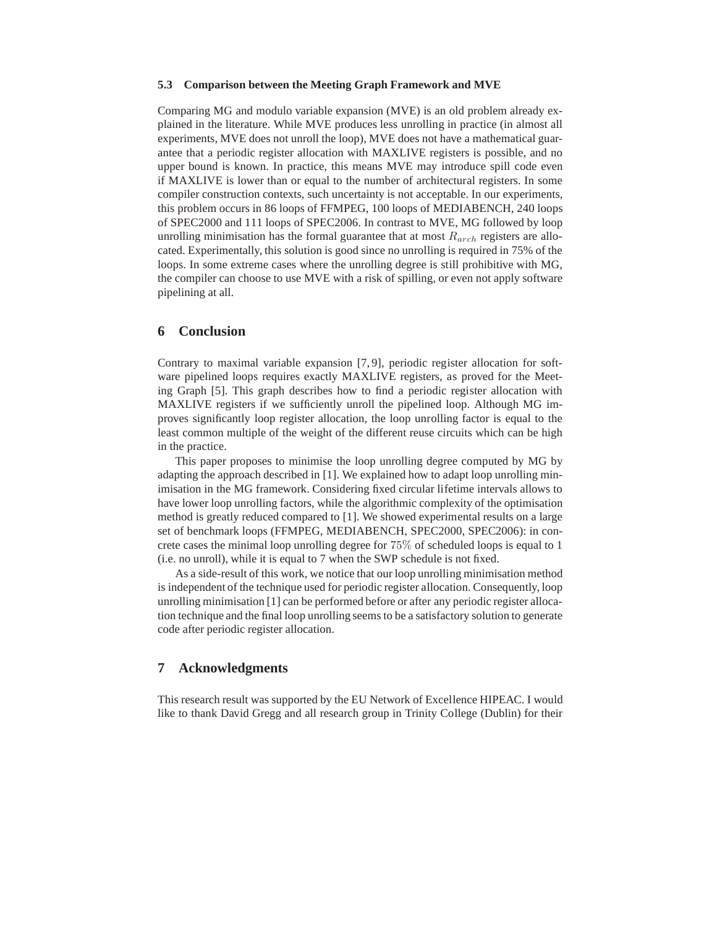#### **5.3 Comparison between the Meeting Graph Framework and MVE**

Comparing MG and modulo variable expansion (MVE) is an old problem already explained in the literature. While MVE produces less unrolling in practice (in almost all experiments, MVE does not unroll the loop), MVE does not have a mathematical guarantee that a periodic register allocation with MAXLIVE registers is possible, and no upper bound is known. In practice, this means MVE may introduce spill code even if MAXLIVE is lower than or equal to the number of architectural registers. In some compiler construction contexts, such uncertainty is not acceptable. In our experiments, this problem occurs in 86 loops of FFMPEG, 100 loops of MEDIABENCH, 240 loops of SPEC2000 and 111 loops of SPEC2006. In contrast to MVE, MG followed by loop unrolling minimisation has the formal guarantee that at most  $R_{arch}$  registers are allocated. Experimentally, this solution is good since no unrolling is required in 75% of the loops. In some extreme cases where the unrolling degree is still prohibitive with MG, the compiler can choose to use MVE with a risk of spilling, or even not apply software pipelining at all.

## **6 Conclusion**

Contrary to maximal variable expansion [7, 9], periodic register allocation for software pipelined loops requires exactly MAXLIVE registers, as proved for the Meeting Graph [5]. This graph describes how to find a periodic register allocation with MAXLIVE registers if we sufficiently unroll the pipelined loop. Although MG improves significantly loop register allocation, the loop unrolling factor is equal to the least common multiple of the weight of the different reuse circuits which can be high in the practice.

This paper proposes to minimise the loop unrolling degree computed by MG by adapting the approach described in [1]. We explained how to adapt loop unrolling minimisation in the MG framework. Considering fixed circular lifetime intervals allows to have lower loop unrolling factors, while the algorithmic complexity of the optimisation method is greatly reduced compared to [1]. We showed experimental results on a large set of benchmark loops (FFMPEG, MEDIABENCH, SPEC2000, SPEC2006): in concrete cases the minimal loop unrolling degree for 75% of scheduled loops is equal to 1 (i.e. no unroll), while it is equal to 7 when the SWP schedule is not fixed.

As a side-result of this work, we notice that our loop unrolling minimisation method is independent of the technique used for periodic register allocation. Consequently, loop unrolling minimisation [1] can be performed before or after any periodic register allocation technique and the final loop unrolling seems to be a satisfactory solution to generate code after periodic register allocation.

# **7 Acknowledgments**

This research result was supported by the EU Network of Excellence HIPEAC. I would like to thank David Gregg and all research group in Trinity College (Dublin) for their